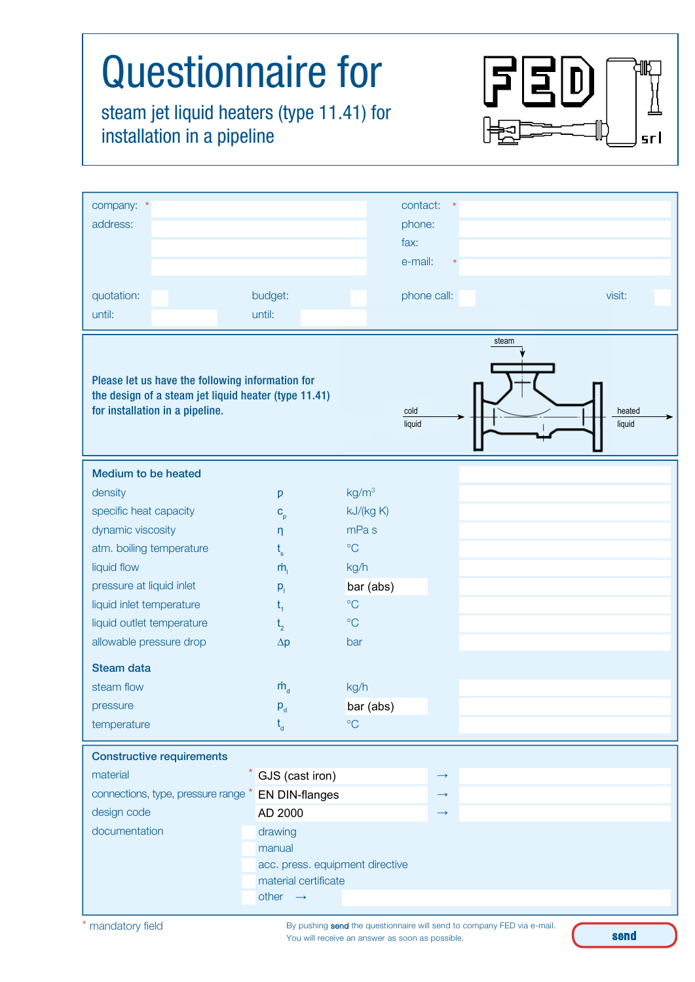| <b>Questionnaire for</b><br>steam jet liquid heaters (type 11.41) for<br>installation in a pipeline<br><u>srl</u>                                                                                                                                                                                             |                                                                                                                                                         |                                                                                                                                                                                 |                                                             |       |                  |
|---------------------------------------------------------------------------------------------------------------------------------------------------------------------------------------------------------------------------------------------------------------------------------------------------------------|---------------------------------------------------------------------------------------------------------------------------------------------------------|---------------------------------------------------------------------------------------------------------------------------------------------------------------------------------|-------------------------------------------------------------|-------|------------------|
| company: *<br>address:                                                                                                                                                                                                                                                                                        |                                                                                                                                                         |                                                                                                                                                                                 | contact:<br>phone:<br>fax:<br>e-mail:                       |       |                  |
| quotation:<br>until:                                                                                                                                                                                                                                                                                          | budget:<br>until:                                                                                                                                       |                                                                                                                                                                                 | phone call:                                                 |       | visit:           |
| Please let us have the following information for<br>the design of a steam jet liquid heater (type 11.41)<br>for installation in a pipeline.                                                                                                                                                                   |                                                                                                                                                         |                                                                                                                                                                                 | cold<br>liquid                                              | steam | heated<br>liquid |
| <b>Medium to be heated</b><br>density<br>specific heat capacity<br>dynamic viscosity<br>atm. boiling temperature<br>liquid flow<br>pressure at liquid inlet<br>liquid inlet temperature<br>liquid outlet temperature<br>allowable pressure drop<br><b>Steam data</b><br>steam flow<br>pressure<br>temperature | p<br>$C_p$<br>η<br>$\dot{m}_{i}$<br>$p_{i}$<br>$t_{1}$<br>t <sub>2</sub><br>$\Delta p$<br>$\dot{m}_{\rm d}$<br>$P_{d}$<br>$t_{d}$                       | kg/m <sup>3</sup><br>kJ/(kg K)<br>mPa <sub>s</sub><br>$\rm ^{\circ}C$<br>kg/h<br>bar (abs)<br>$\rm ^{\circ}C$<br>$\rm ^{\circ}C$<br>bar<br>kg/h<br>bar (abs)<br>$\rm ^{\circ}C$ |                                                             |       |                  |
| <b>Constructive requirements</b><br>material<br>connections, type, pressure range *<br>design code<br>documentation                                                                                                                                                                                           | $*$ GJS (cast iron)<br>EN DIN-flanges<br>AD 2000<br>drawing<br>manual<br>acc. press. equipment directive<br>material certificate<br>other $\rightarrow$ |                                                                                                                                                                                 | $\longrightarrow$<br>$\longrightarrow$<br>$\longrightarrow$ |       |                  |

By pushing send the questionnaire will send to company FED via e-mail. You will receive an answer as soon as possible.

send